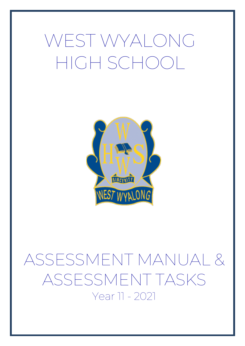# WEST WYALONG HIGH SCHOOL



# ASSESSMENT MANUAL & ASSESSMENT TASKS Year 11 - 2021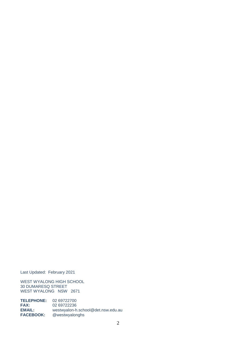Last Updated: February 2021

WEST WYALONG HIGH SCHOOL 30 DUMARESQ STREET WEST WYALONG NSW 2671

**TELEPHONE:** 02 69722700 **FAX:** 02 69722236 **EMAIL:** [westwyalon-h.school@det.nsw.edu.au](mailto:westwyalon-h.school@det.nsw.edu.au) **FACEBOOK:** @westwyalonghs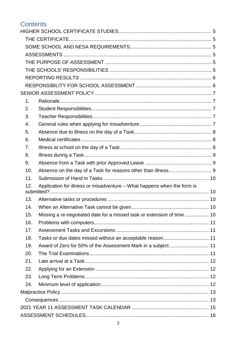### **Contents**

| 1.  |                                                                         |  |
|-----|-------------------------------------------------------------------------|--|
| 2.  |                                                                         |  |
| 3.  |                                                                         |  |
| 4.  |                                                                         |  |
| 5.  |                                                                         |  |
| 6.  |                                                                         |  |
| 7.  |                                                                         |  |
| 8.  |                                                                         |  |
| 9.  |                                                                         |  |
| 10. |                                                                         |  |
| 11. |                                                                         |  |
| 12. | Application for illness or misadventure - What happens when the form is |  |
|     |                                                                         |  |
| 13. |                                                                         |  |
| 14. |                                                                         |  |
| 15. | Missing a re-negotiated date for a missed task or extension of time  10 |  |
| 16. |                                                                         |  |
| 17. |                                                                         |  |
| 18. | Tasks or due dates missed without an acceptable reason 11               |  |
| 19. |                                                                         |  |
| 20. |                                                                         |  |
| 21. |                                                                         |  |
| 22. |                                                                         |  |
| 23. |                                                                         |  |
| 24. |                                                                         |  |
|     |                                                                         |  |
|     |                                                                         |  |
|     |                                                                         |  |
|     |                                                                         |  |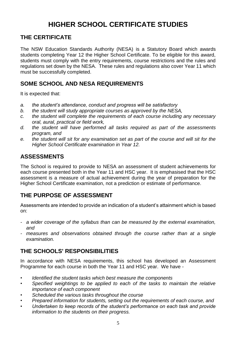### **HIGHER SCHOOL CERTIFICATE STUDIES**

### <span id="page-4-1"></span><span id="page-4-0"></span>**THE CERTIFICATE**

The NSW Education Standards Authority (NESA) is a Statutory Board which awards students completing Year 12 the Higher School Certificate. To be eligible for this award, students must comply with the entry requirements, course restrictions and the rules and regulations set down by the NESA. These rules and regulations also cover Year 11 which must be successfully completed.

### <span id="page-4-2"></span>**SOME SCHOOL AND NESA REQUIREMENTS**

It is expected that:

- *a. the student's attendance, conduct and progress will be satisfactory*
- *b. the student will study appropriate courses as approved by the NESA,*
- *c. the student will complete the requirements of each course including any necessary oral, aural, practical or field work,*
- *d. the student will have performed all tasks required as part of the assessments program, and*
- *e. the student will sit for any examination set as part of the course and will sit for the Higher School Certificate examination in Year 12.*

### <span id="page-4-3"></span>**ASSESSMENTS**

The School is required to provide to NESA an assessment of student achievements for each course presented both in the Year 11 and HSC year. It is emphasised that the HSC assessment is a measure of actual achievement during the year of preparation for the Higher School Certificate examination, not a prediction or estimate of performance.

### <span id="page-4-4"></span>**THE PURPOSE OF ASSESSMENT**

Assessments are intended to provide an indication of a student's attainment which is based on:

- *- a wider coverage of the syllabus than can be measured by the external examination, and*
- *- measures and observations obtained through the course rather than at a single examination.*

### <span id="page-4-5"></span>**THE SCHOOLS' RESPONSIBILITIES**

In accordance with NESA requirements, this school has developed an Assessment Programme for each course in both the Year 11 and HSC year. We have -

- *• Identified the student tasks which best measure the components*
- *• Specified weightings to be applied to each of the tasks to maintain the relative importance of each component*
- *• Scheduled the various tasks throughout the course*
- *• Prepared information for students, setting out the requirements of each course, and*
- *• Undertaken to keep records of the student's performance on each task and provide information to the students on their progress.*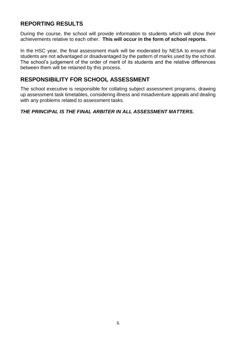### <span id="page-5-0"></span>**REPORTING RESULTS**

During the course, the school will provide information to students which will show their achievements relative to each other. **This will occur in the form of school reports.**

In the HSC year, the final assessment mark will be moderated by NESA to ensure that students are not advantaged or disadvantaged by the pattern of marks used by the school. The school's judgement of the order of merit of its students and the relative differences between them will be retained by this process.

### <span id="page-5-1"></span>**RESPONSIBILITY FOR SCHOOL ASSESSMENT**

The school executive is responsible for collating subject assessment programs, drawing up assessment task timetables, considering illness and misadventure appeals and dealing with any problems related to assessment tasks.

### *THE PRINCIPAL IS THE FINAL ARBITER IN ALL ASSESSMENT MATTERS.*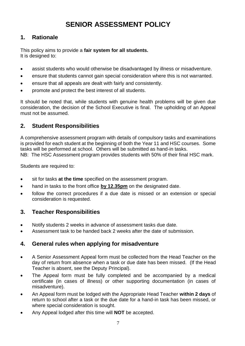### **SENIOR ASSESSMENT POLICY**

### <span id="page-6-1"></span><span id="page-6-0"></span>**1. Rationale**

This policy aims to provide a **fair system for all students.** It is designed to:

- assist students who would otherwise be disadvantaged by illness or misadventure.
- ensure that students cannot gain special consideration where this is not warranted.
- ensure that all appeals are dealt with fairly and consistently.
- promote and protect the best interest of all students.

It should be noted that, while students with genuine health problems will be given due consideration, the decision of the School Executive is final. The upholding of an Appeal must not be assumed.

### <span id="page-6-2"></span>**2. Student Responsibilities**

A comprehensive assessment program with details of compulsory tasks and examinations is provided for each student at the beginning of both the Year 11 and HSC courses. Some tasks will be performed at school. Others will be submitted as hand-in tasks. NB: The HSC Assessment program provides students with 50% of their final HSC mark.

Students are required to:

- sit for tasks **at the time** specified on the assessment program.
- hand in tasks to the front office **by 12.35pm** on the designated date.
- follow the correct procedures if a due date is missed or an extension or special consideration is requested.

### <span id="page-6-3"></span>**3. Teacher Responsibilities**

- Notify students 2 weeks in advance of assessment tasks due date.
- Assessment task to be handed back 2 weeks after the date of submission.

### <span id="page-6-4"></span>**4. General rules when applying for misadventure**

- A Senior Assessment Appeal form must be collected from the Head Teacher on the day of return from absence when a task or due date has been missed. (If the Head Teacher is absent, see the Deputy Principal).
- The Appeal form must be fully completed and be accompanied by a medical certificate (in cases of illness) or other supporting documentation (in cases of misadventure).
- An Appeal form must be lodged with the Appropriate Head Teacher **within 2 days** of return to school after a task or the due date for a hand-in task has been missed, or where special consideration is sought.
- Any Appeal lodged after this time will **NOT** be accepted.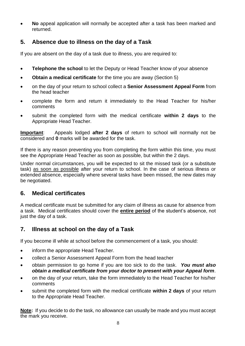**No** appeal application will normally be accepted after a task has been marked and returned.

### <span id="page-7-0"></span>**5. Absence due to illness on the day of a Task**

If you are absent on the day of a task due to illness, you are required to:

- **Telephone the school** to let the Deputy or Head Teacher know of your absence
- **Obtain a medical certificate** for the time you are away (Section 5)
- on the day of your return to school collect a **Senior Assessment Appeal Form** from the head teacher
- complete the form and return it immediately to the Head Teacher for his/her comments
- submit the completed form with the medical certificate **within 2 days** to the Appropriate Head Teacher.

**Important**: Appeals lodged **after 2 days** of return to school will normally not be considered and **0** marks will be awarded for the task.

If there is any reason preventing you from completing the form within this time, you must see the Appropriate Head Teacher as soon as possible, but within the 2 days.

Under normal circumstances, you will be expected to sit the missed task (or a substitute task) as soon as possible after your return to school. In the case of serious illness or extended absence, especially where several tasks have been missed, the new dates may be negotiated.

### <span id="page-7-1"></span>**6. Medical certificates**

A medical certificate must be submitted for any claim of illness as cause for absence from a task. Medical certificates should cover the **entire period** of the student's absence, not just the day of a task.

### <span id="page-7-2"></span>**7. Illness at school on the day of a Task**

If you become ill while at school before the commencement of a task, you should:

- inform the appropriate Head Teacher.
- collect a Senior Assessment Appeal Form from the head teacher
- obtain permission to go home if you are too sick to do the task. *You must also obtain a medical certificate from your doctor to present with your Appeal form*.
- on the day of your return, take the form immediately to the Head Teacher for his/her comments
- submit the completed form with the medical certificate **within 2 days** of your return to the Appropriate Head Teacher.

**Note:** If you decide to do the task, no allowance can usually be made and you must accept the mark you receive.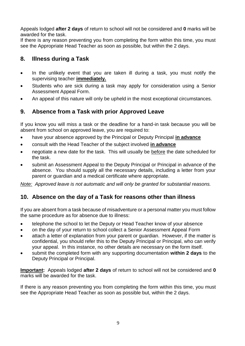Appeals lodged **after 2 days** of return to school will not be considered and **0** marks will be awarded for the task.

If there is any reason preventing you from completing the form within this time, you must see the Appropriate Head Teacher as soon as possible, but within the 2 days.

### <span id="page-8-0"></span>**8. Illness during a Task**

- In the unlikely event that you are taken ill during a task, you must notify the supervising teacher **immediately.**
- Students who are sick during a task may apply for consideration using a Senior Assessment Appeal Form.
- An appeal of this nature will only be upheld in the most exceptional circumstances.

### <span id="page-8-1"></span>**9. Absence from a Task with prior Approved Leave**

If you know you will miss a task or the deadline for a hand-in task because you will be absent from school on approved leave, you are required to:

- have your absence approved by the Principal or Deputy Principal **in advance**
- consult with the Head Teacher of the subject involved **in advance**
- negotiate a new date for the task. This will usually be before the date scheduled for the task.
- submit an Assessment Appeal to the Deputy Principal or Principal in advance of the absence. You should supply all the necessary details, including a letter from your parent or guardian and a medical certificate where appropriate.

*Note: Approved leave is not automatic and will only be granted for substantial reasons.* 

### <span id="page-8-2"></span>**10. Absence on the day of a Task for reasons other than illness**

If you are absent from a task because of misadventure or a personal matter you must follow the same procedure as for absence due to illness:

- telephone the school to let the Deputy or Head Teacher know of your absence
- on the day of your return to school collect a Senior Assessment Appeal Form
- attach a letter of explanation from your parent or guardian. However, if the matter is confidential, you should refer this to the Deputy Principal or Principal, who can verify your appeal. In this instance, no other details are necessary on the form itself.
- submit the completed form with any supporting documentation **within 2 days** to the Deputy Principal or Principal.

**Important:** Appeals lodged **after 2 days** of return to school will not be considered and **0** marks will be awarded for the task.

If there is any reason preventing you from completing the form within this time, you must see the Appropriate Head Teacher as soon as possible but, within the 2 days.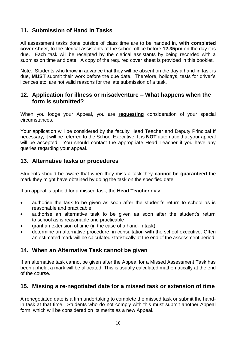### <span id="page-9-0"></span>**11. Submission of Hand in Tasks**

All assessment tasks done outside of class time are to be handed in, **with completed cover sheet**, to the clerical assistants at the school office before **12.35pm** on the day it is due. Each task will be receipted by the clerical assistants by being recorded with a submission time and date. A copy of the required cover sheet is provided in this booklet.

Note: Students who know in advance that they will be absent on the day a hand-in task is due, **MUST** submit their work before the due date. Therefore, holidays, tests for driver's licences etc. are not valid reasons for the late submission of a task.

### <span id="page-9-1"></span>**12. Application for illness or misadventure – What happens when the form is submitted?**

When you lodge your Appeal, you are **requesting** consideration of your special circumstances.

Your application will be considered by the faculty Head Teacher and Deputy Principal If necessary, it will be referred to the School Executive. It is **NOT** automatic that your appeal will be accepted. You should contact the appropriate Head Teacher if you have any queries regarding your appeal.

### <span id="page-9-2"></span>**13. Alternative tasks or procedures**

Students should be aware that when they miss a task they **cannot be guaranteed** the mark they might have obtained by doing the task on the specified date.

If an appeal is upheld for a missed task, the **Head Teacher** may:

- authorise the task to be given as soon after the student's return to school as is reasonable and practicable
- authorise an alternative task to be given as soon after the student's return to school as is reasonable and practicable
- grant an extension of time (in the case of a hand-in task)
- determine an alternative procedure, in consultation with the school executive. Often an estimated mark will be calculated statistically at the end of the assessment period.

### <span id="page-9-3"></span>**14. When an Alternative Task cannot be given**

If an alternative task cannot be given after the Appeal for a Missed Assessment Task has been upheld, a mark will be allocated**.** This is usually calculated mathematically at the end of the course.

### <span id="page-9-4"></span>**15. Missing a re-negotiated date for a missed task or extension of time**

A renegotiated date is a firm undertaking to complete the missed task or submit the handin task at that time. Students who do not comply with this must submit another Appeal form, which will be considered on its merits as a new Appeal.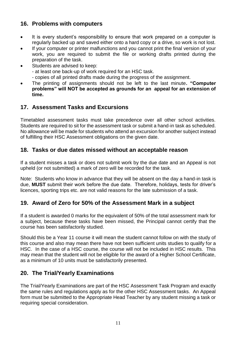### <span id="page-10-0"></span>**16. Problems with computers**

- It is every student's responsibility to ensure that work prepared on a computer is regularly backed up and saved either onto a hard copy or a drive, so work is not lost.
- If your computer or printer malfunctions and you cannot print the final version of your work, you are required to submit the file or working drafts printed during the preparation of the task.
- Students are advised to keep:
	- at least one back-up of work required for an HSC task.
	- copies of all printed drafts made during the progress of the assignment.
- The printing of assignments should not be left to the last minute**. "Computer problems" will NOT be accepted as grounds for an appeal for an extension of time.**

### <span id="page-10-1"></span>**17. Assessment Tasks and Excursions**

Timetabled assessment tasks must take precedence over all other school activities. Students are required to sit for the assessment task or submit a hand-in task as scheduled. No allowance will be made for students who attend an excursion for another subject instead of fulfilling their HSC Assessment obligations on the given date.

### <span id="page-10-2"></span>**18. Tasks or due dates missed without an acceptable reason**

If a student misses a task or does not submit work by the due date and an Appeal is not upheld (or not submitted) a mark of zero will be recorded for the task.

Note: Students who know in advance that they will be absent on the day a hand-in task is due, **MUST** submit their work before the due date. Therefore, holidays, tests for driver's licences, sporting trips etc. are not valid reasons for the late submission of a task.

### <span id="page-10-3"></span>**19. Award of Zero for 50% of the Assessment Mark in a subject**

If a student is awarded 0 marks for the equivalent of 50% of the total assessment mark for a subject, because these tasks have been missed, the Principal cannot certify that the course has been satisfactorily studied.

Should this be a Year 11 course it will mean the student cannot follow on with the study of this course and also may mean there have not been sufficient units studies to qualify for a HSC. In the case of a HSC course, the course will not be included in HSC results. This may mean that the student will not be eligible for the award of a Higher School Certificate, as a minimum of 10 units must be satisfactorily presented.

### <span id="page-10-4"></span>**20. The Trial/Yearly Examinations**

The Trial/Yearly Examinations are part of the HSC Assessment Task Program and exactly the same rules and regulations apply as for the other HSC Assessment tasks. An Appeal form must be submitted to the Appropriate Head Teacher by any student missing a task or requiring special consideration.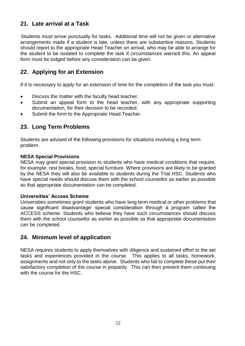### <span id="page-11-0"></span>**21. Late arrival at a Task**

Students must arrive punctually for tasks. Additional time will not be given or alternative arrangements made if a student is late, unless there are substantive reasons. Students should report to the appropriate Head Teacher on arrival, who may be able to arrange for the student to be isolated to complete the task if circumstances warrant this. An appeal form must be lodged before any consideration can be given.

### <span id="page-11-1"></span>**22. Applying for an Extension**

If it is necessary to apply for an extension of time for the completion of the task you must:

- Discuss the matter with the faculty head teacher.
- Submit an appeal form to the head teacher, with any appropriate supporting documentation, for their decision to be recorded.
- Submit the form to the Appropriate Head Teacher.

### <span id="page-11-2"></span>**23. Long Term Problems**

Students are advised of the following provisions for situations involving a long term problem.

### **NESA Special Provisions**

NESA may grant special provision to students who have medical conditions that require, for example, rest breaks, food, special furniture. Where provisions are likely to be granted by the NESA they will also be available to students during the Trial HSC. Students who have special needs should discuss them with the school counsellor as earlier as possible so that appropriate documentation can be completed.

### **Universities' Access Scheme**

Universities sometimes grant students who have long term medical or other problems that cause significant disadvantage' special consideration through a program called the ACCESS scheme. Students who believe they have such circumstances should discuss them with the school counsellor as earlier as possible so that appropriate documentation can be completed.

### <span id="page-11-3"></span>**24. Minimum level of application**

NESA requires students to apply themselves with diligence and sustained effort to the set tasks and experiences provided in the course. This applies to all tasks, homework, assignments and not only to the tasks above. Students who fail to complete these put their satisfactory completion of the course in jeopardy. This can then prevent them continuing with the course for the HSC.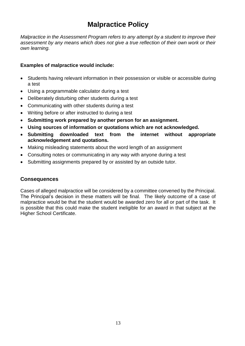### **Malpractice Policy**

<span id="page-12-0"></span>*Malpractice in the Assessment Program refers to any attempt by a student to improve their assessment by any means which does not give a true reflection of their own work or their own learning.*

### **Examples of malpractice would include:**

- Students having relevant information in their possession or visible or accessible during a test
- Using a programmable calculator during a test
- Deliberately disturbing other students during a test
- Communicating with other students during a test
- Writing before or after instructed to during a test
- **Submitting work prepared by another person for an assignment.**
- **Using sources of information or quotations which are not acknowledged.**
- **Submitting downloaded text from the internet without appropriate acknowledgement and quotations.**
- Making misleading statements about the word length of an assignment
- Consulting notes or communicating in any way with anyone during a test
- Submitting assignments prepared by or assisted by an outside tutor.

### <span id="page-12-1"></span>**Consequences**

Cases of alleged malpractice will be considered by a committee convened by the Principal. The Principal's decision in these matters will be final. The likely outcome of a case of malpractice would be that the student would be awarded zero for all or part of the task. It is possible that this could make the student ineligible for an award in that subject at the Higher School Certificate.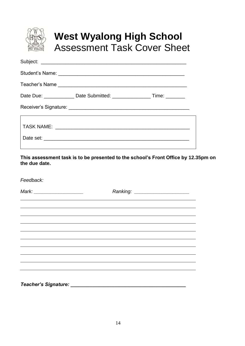

### **West Wyalong High School** Assessment Task Cover Sheet

**This assessment task is to be presented to the school's Front Office by 12.35pm on the due date.** 

*Feedback:*

*Mark: \_\_\_\_\_\_\_\_\_\_\_\_\_\_\_\_\_\_ Ranking: \_\_\_\_\_\_\_\_\_\_\_\_\_\_\_\_\_\_\_\_ Teacher's Signature: \_\_\_\_\_\_\_\_\_\_\_\_\_\_\_\_\_\_\_\_\_\_\_\_\_\_\_\_\_\_\_\_\_\_\_\_\_\_\_\_\_\_*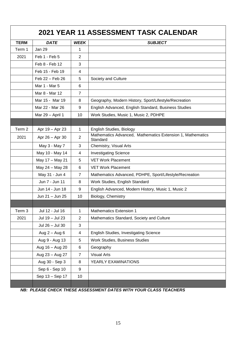<span id="page-14-0"></span>

| <b>2021 YEAR 11 ASSESSMENT TASK CALENDAR</b> |                  |                |                                                                        |  |
|----------------------------------------------|------------------|----------------|------------------------------------------------------------------------|--|
| <b>TERM</b>                                  | <b>DATE</b>      | <b>WEEK</b>    | <b>SUBJECT</b>                                                         |  |
| Term 1                                       | Jan 29           | 1              |                                                                        |  |
| 2021                                         | Feb 1 - Feb 5    | $\overline{2}$ |                                                                        |  |
|                                              | Feb 8 - Feb 12   | 3              |                                                                        |  |
|                                              | Feb 15 - Feb 19  | 4              |                                                                        |  |
|                                              | Feb 22 - Feb 26  | 5              | Society and Culture                                                    |  |
|                                              | Mar 1 - Mar 5    | 6              |                                                                        |  |
|                                              | Mar 8 - Mar 12   | $\overline{7}$ |                                                                        |  |
|                                              | Mar 15 - Mar 19  | 8              | Geography, Modern History, Sport/Lifestyle/Recreation                  |  |
|                                              | Mar 22 - Mar 26  | 9              | English Advanced, English Standard, Business Studies                   |  |
|                                              | Mar 29 - April 1 | 10             | Work Studies, Music 1, Music 2, PDHPE                                  |  |
|                                              |                  |                |                                                                        |  |
| Term 2                                       | Apr 19 - Apr 23  | 1              | English Studies, Biology                                               |  |
| 2021                                         | Apr 26 - Apr 30  | $\overline{2}$ | Mathematics Advanced, Mathematics Extension 1, Mathematics<br>Standard |  |
|                                              | May 3 - May 7    | 3              | Chemistry, Visual Arts                                                 |  |
|                                              | May 10 - May 14  | 4              | <b>Investigating Science</b>                                           |  |
|                                              | May 17 - May 21  | 5              | <b>VET Work Placement</b>                                              |  |
|                                              | May 24 - May 28  | 6              | <b>VET Work Placement</b>                                              |  |
|                                              | May 31 - Jun 4   | $\overline{7}$ | Mathematics Advanced, PDHPE, Sport/Lifestyle/Recreation                |  |
|                                              | Jun 7 - Jun 11   | 8              | Work Studies, English Standard                                         |  |
|                                              | Jun 14 - Jun 18  | 9              | English Advanced, Modern History, Music 1, Music 2                     |  |
|                                              | Jun 21 - Jun 25  | 10             | Biology, Chemistry                                                     |  |
|                                              |                  |                |                                                                        |  |
| Term <sub>3</sub>                            | Jul 12 - Jul 16  | 1              | Mathematics Extension 1                                                |  |
| 2021                                         | Jul 19 - Jul 23  | $\overline{c}$ | Mathematics Standard, Society and Culture                              |  |
|                                              | Jul 26 - Jul 30  | 3              |                                                                        |  |
|                                              | Aug $2 -$ Aug 6  | 4              | English Studies, Investigating Science                                 |  |
|                                              | Aug 9 - Aug 13   | 5              | Work Studies, Business Studies                                         |  |
|                                              | Aug 16 - Aug 20  | 6              | Geography                                                              |  |
|                                              | Aug 23 - Aug 27  | $\overline{7}$ | <b>Visual Arts</b>                                                     |  |
|                                              | Aug 30 - Sep 3   | 8              | YEARLY EXAMINATIONS                                                    |  |
|                                              | Sep 6 - Sep 10   | 9              |                                                                        |  |
|                                              | Sep 13 - Sep 17  | 10             |                                                                        |  |
|                                              |                  |                |                                                                        |  |

*NB: PLEASE CHECK THESE ASSESSMENT DATES WITH YOUR CLASS TEACHERS*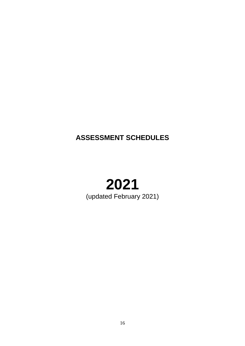### <span id="page-15-0"></span>**ASSESSMENT SCHEDULES**

### **2021** (updated February 2021)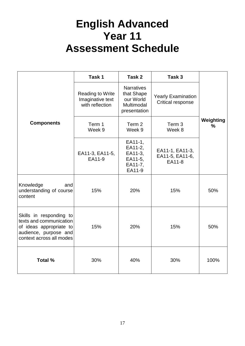## <span id="page-16-0"></span>**English Advanced Year 11 Assessment Schedule**

|                                                                                                                                    | Task 1                                                  | Task 2                                                                     | Task 3                                         |                                          |
|------------------------------------------------------------------------------------------------------------------------------------|---------------------------------------------------------|----------------------------------------------------------------------------|------------------------------------------------|------------------------------------------|
|                                                                                                                                    | Reading to Write<br>Imaginative text<br>with reflection | <b>Narratives</b><br>that Shape<br>our World<br>Multimodal<br>presentation | <b>Yearly Examination</b><br>Critical response |                                          |
| <b>Components</b>                                                                                                                  | Term 1<br>Week 9                                        | Term 2<br>Week 9                                                           | Term 3<br>Week 8                               | Weighting<br>$\frac{0}{0}$<br>50%<br>50% |
|                                                                                                                                    | EA11-3, EA11-5,<br>EA11-9                               | EA11-1,<br>EA11-2,<br>EA11-3,<br>EA11-5,<br>EA11-7,<br>EA11-9              | EA11-1, EA11-3,<br>EA11-5, EA11-6,<br>EA11-8   |                                          |
| Knowledge<br>and<br>understanding of course<br>content                                                                             | 15%                                                     | 20%                                                                        | 15%                                            |                                          |
| Skills in responding to<br>texts and communication<br>of ideas appropriate to<br>audience, purpose and<br>context across all modes | 15%                                                     | 20%                                                                        | 15%                                            |                                          |
| Total %                                                                                                                            | 30%                                                     | 40%                                                                        | 30%                                            | 100%                                     |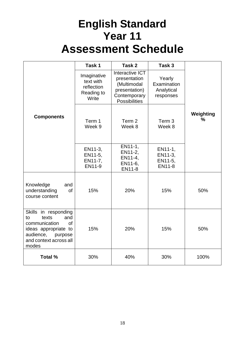# **English Standard Year 11 Assessment Schedule**

<span id="page-17-0"></span>

|                                                                                                                                                             | Task 1                                                        | Task 2                                                                                                  | Task 3                                           |                   |
|-------------------------------------------------------------------------------------------------------------------------------------------------------------|---------------------------------------------------------------|---------------------------------------------------------------------------------------------------------|--------------------------------------------------|-------------------|
|                                                                                                                                                             | Imaginative<br>text with<br>reflection<br>Reading to<br>Write | Interactive ICT<br>presentation<br>(Multimodal<br>presentation)<br>Contemporary<br><b>Possibilities</b> | Yearly<br>Examination<br>Analytical<br>responses |                   |
| <b>Components</b>                                                                                                                                           | Term 1<br>Week 9                                              | Term 2<br>Week 8                                                                                        | Term 3<br>Week 8                                 | Weighting<br>$\%$ |
|                                                                                                                                                             | EN11-3,<br>EN11-5,<br>EN11-7,<br>EN11-9                       | EN11-1,<br>EN11-2,<br>EN11-4,<br>EN11-6,<br>EN11-8                                                      | EN11-1,<br>EN11-3,<br>EN11-5,<br><b>EN11-8</b>   |                   |
| Knowledge<br>and<br>understanding<br><b>of</b><br>course content                                                                                            | 15%                                                           | 20%                                                                                                     | 15%                                              | 50%               |
| Skills in responding<br>texts<br>to<br>and<br>communication<br><b>of</b><br>ideas appropriate to<br>audience,<br>purpose<br>and context across all<br>modes | 15%                                                           | 20%                                                                                                     | 15%                                              | 50%               |
| Total %                                                                                                                                                     | 30%                                                           | 40%                                                                                                     | 30%                                              | 100%              |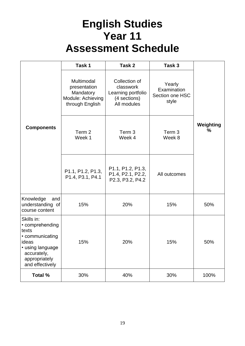# **English Studies Year 11 Assessment Schedule**

<span id="page-18-0"></span>

|                                                                                                                                           | Task 1                                                                          | Task 2                                                                          | Task 3                                            |                |
|-------------------------------------------------------------------------------------------------------------------------------------------|---------------------------------------------------------------------------------|---------------------------------------------------------------------------------|---------------------------------------------------|----------------|
|                                                                                                                                           | Multimodal<br>presentation<br>Mandatory<br>Module: Achieving<br>through English | Collection of<br>classwork<br>Learning portfolio<br>(4 sections)<br>All modules | Yearly<br>Examination<br>Section one HSC<br>style |                |
| <b>Components</b>                                                                                                                         | Term 2<br>Week 1                                                                | Term 3<br>Week 4                                                                | Term <sub>3</sub><br>Week 8                       | Weighting<br>℅ |
|                                                                                                                                           | P1.1, P1.2, P1.3,<br>P1.4, P3.1, P4.1                                           | P1.1, P1.2, P1.3,<br>P1.4, P2.1, P2.2,<br>P2.3, P3.2, P4.2                      | All outcomes                                      |                |
| Knowledge<br>and<br>understanding of<br>course content                                                                                    | 15%                                                                             | 20%                                                                             | 15%                                               | 50%            |
| Skills in:<br>• comprehending<br>texts<br>• communicating<br>ideas<br>• using language<br>accurately,<br>appropriately<br>and effectively | 15%                                                                             | 20%                                                                             | 15%                                               | 50%            |
| Total %                                                                                                                                   | 30%                                                                             | 40%                                                                             | 30%                                               | 100%           |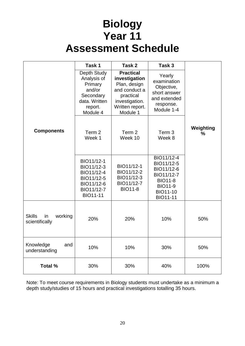# **Biology Year 11 Assessment Schedule**

<span id="page-19-0"></span>

|                                                  | Task 1                                                                                               | Task 2                                                                                                                           | Task 3                                                                                                                         |                            |
|--------------------------------------------------|------------------------------------------------------------------------------------------------------|----------------------------------------------------------------------------------------------------------------------------------|--------------------------------------------------------------------------------------------------------------------------------|----------------------------|
|                                                  | Depth Study<br>Analysis of<br>Primary<br>and/or<br>Secondary<br>data. Written<br>report.<br>Module 4 | <b>Practical</b><br>investigation<br>Plan, design<br>and conduct a<br>practical<br>investigation.<br>Written report.<br>Module 1 | Yearly<br>examination<br>Objective,<br>short answer<br>and extended<br>response.<br>Module 1-4                                 |                            |
| <b>Components</b>                                | Term 2<br>Week 1                                                                                     | Term 2<br>Week 10                                                                                                                | Term <sub>3</sub><br>Week 8                                                                                                    | Weighting<br>$\frac{0}{0}$ |
|                                                  | BIO11/12-1<br>BIO11/12-3<br>BIO11/12-4<br>BIO11/12-5<br>BIO11/12-6<br>BIO11/12-7<br><b>BIO11-11</b>  | BIO11/12-1<br>BIO11/12-2<br>BIO11/12-3<br>BIO11/12-7<br><b>BIO11-8</b>                                                           | BIO11/12-4<br>BIO11/12-5<br>BIO11/12-6<br>BIO11/12-7<br><b>BIO11-8</b><br><b>BIO11-9</b><br><b>BIO11-10</b><br><b>BIO11-11</b> |                            |
| <b>Skills</b><br>in<br>working<br>scientifically | 20%                                                                                                  | 20%                                                                                                                              | 10%                                                                                                                            | 50%                        |
| Knowledge<br>and<br>understanding                | 10%                                                                                                  | 10%                                                                                                                              | 30%                                                                                                                            | 50%                        |
| Total %                                          | 30%                                                                                                  | 30%                                                                                                                              | 40%                                                                                                                            | 100%                       |

Note: To meet course requirements in Biology students must undertake as a minimum a depth study/studies of 15 hours and practical investigations totalling 35 hours.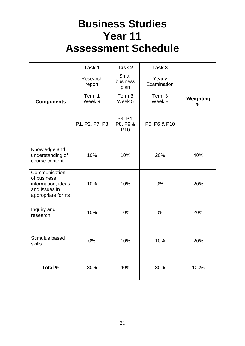# **Business Studies Year 11 Assessment Schedule**

<span id="page-20-0"></span>

|                                                                                          | Task 1             | Task 2                                 | Task 3                |                            |
|------------------------------------------------------------------------------------------|--------------------|----------------------------------------|-----------------------|----------------------------|
|                                                                                          | Research<br>report | Small<br>business<br>plan              | Yearly<br>Examination |                            |
| <b>Components</b>                                                                        | Term 1<br>Week 9   | Term 3<br>Week 5                       | Term 3<br>Week 8      | Weighting<br>$\frac{0}{0}$ |
|                                                                                          | P1, P2, P7, P8     | P3, P4,<br>P8, P9 &<br>P <sub>10</sub> | P5, P6 & P10          |                            |
| Knowledge and<br>understanding of<br>course content                                      | 10%                | 10%                                    | 20%                   | 40%                        |
| Communication<br>of business<br>information, ideas<br>and issues in<br>appropriate forms | 10%                | 10%                                    | 0%                    | 20%                        |
| Inquiry and<br>research                                                                  | 10%                | 10%                                    | 0%                    | 20%                        |
| Stimulus based<br>skills                                                                 | 0%                 | 10%                                    | 10%                   | 20%                        |
| <b>Total %</b>                                                                           | 30%                | 40%                                    | 30%                   | 100%                       |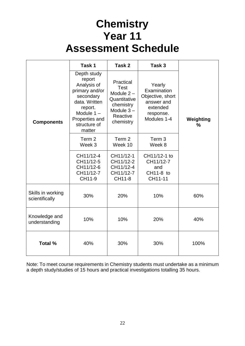# **Chemistry Year 11 Assessment Schedule**

<span id="page-21-0"></span>

|                                     | Task 1                                                                                                                                                      | Task 2                                                                                                        | Task 3                                                                                          |                            |
|-------------------------------------|-------------------------------------------------------------------------------------------------------------------------------------------------------------|---------------------------------------------------------------------------------------------------------------|-------------------------------------------------------------------------------------------------|----------------------------|
| <b>Components</b>                   | Depth study<br>report<br>Analysis of<br>primary and/or<br>secondary<br>data. Written<br>report.<br>Module $1 -$<br>Properties and<br>structure of<br>matter | Practical<br><b>Test</b><br>Module $2 -$<br>Quantitative<br>chemistry<br>Module $3-$<br>Reactive<br>chemistry | Yearly<br>Examination<br>Objective, short<br>answer and<br>extended<br>response.<br>Modules 1-4 | Weighting<br>$\frac{0}{0}$ |
|                                     | Term 2<br>Week 3                                                                                                                                            | Term 2<br>Week 10                                                                                             | Term <sub>3</sub><br>Week 8                                                                     |                            |
|                                     | CH11/12-4<br>CH11/12-5<br>CH11/12-6<br>CH11/12-7<br>CH11-9                                                                                                  | CH11/12-1<br>CH11/12-2<br>CH11/12-4<br>CH11/12-7<br>CH11-8                                                    | CH11/12-1 to<br>CH11/12-7<br>and<br>CH11-8 to<br>CH11-11                                        |                            |
| Skills in working<br>scientifically | 30%                                                                                                                                                         | 20%                                                                                                           | 10%                                                                                             | 60%                        |
| Knowledge and<br>understanding      | 10%                                                                                                                                                         | 10%                                                                                                           | 20%                                                                                             | 40%                        |
| <b>Total %</b>                      | 40%                                                                                                                                                         | 30%                                                                                                           | 30%                                                                                             | 100%                       |

Note: To meet course requirements in Chemistry students must undertake as a minimum a depth study/studies of 15 hours and practical investigations totalling 35 hours.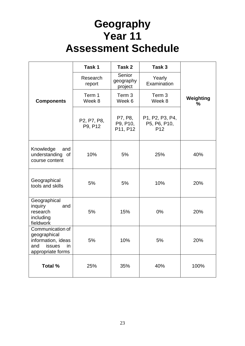# **Geography Year 11 Assessment Schedule**

<span id="page-22-0"></span>

|                                                                                                           | Task 1                 | Task 2                          | Task 3                                             |                            |
|-----------------------------------------------------------------------------------------------------------|------------------------|---------------------------------|----------------------------------------------------|----------------------------|
|                                                                                                           | Research<br>report     | Senior<br>geography<br>project  | Yearly<br>Examination                              |                            |
| <b>Components</b>                                                                                         | Term 1<br>Week 8       | Term 3<br>Week 6                | Term 3<br>Week 8                                   | Weighting<br>$\frac{0}{0}$ |
|                                                                                                           | P2, P7, P8,<br>P9, P12 | P7, P8,<br>P9, P10,<br>P11, P12 | P1, P2, P3, P4,<br>P5, P6, P10,<br>P <sub>12</sub> |                            |
| Knowledge<br>and<br>understanding<br>οf<br>course content                                                 | 10%                    | 5%                              | 25%                                                | 40%                        |
| Geographical<br>tools and skills                                                                          | 5%                     | 5%                              | 10%                                                | 20%                        |
| Geographical<br>inquiry<br>and<br>research<br>including<br>fieldwork                                      | 5%                     | 15%                             | 0%                                                 | 20%                        |
| Communication of<br>geographical<br>information, ideas<br><b>issues</b><br>and<br>in<br>appropriate forms | 5%                     | 10%                             | 5%                                                 | 20%                        |
| Total %                                                                                                   | 25%                    | 35%                             | 40%                                                | 100%                       |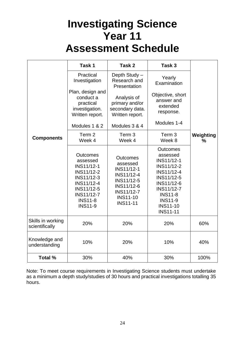# **Investigating Science Year 11 Assessment Schedule**

<span id="page-23-0"></span>

|                                     | Task 1                                                                                                                                                                   | Task 2                                                                                                                                                       | Task 3                                                                                                                                                                                                  |                            |
|-------------------------------------|--------------------------------------------------------------------------------------------------------------------------------------------------------------------------|--------------------------------------------------------------------------------------------------------------------------------------------------------------|---------------------------------------------------------------------------------------------------------------------------------------------------------------------------------------------------------|----------------------------|
|                                     | Practical<br>Investigation                                                                                                                                               | Depth Study -<br>Research and<br>Presentation                                                                                                                | Yearly<br>Examination                                                                                                                                                                                   |                            |
|                                     | Plan, design and<br>conduct a<br>practical<br>investigation.<br>Written report.                                                                                          | Analysis of<br>primary and/or<br>secondary data.<br>Written report.                                                                                          | Objective, short<br>answer and<br>extended<br>response.                                                                                                                                                 |                            |
|                                     | Modules 1 & 2                                                                                                                                                            | Modules 3 & 4                                                                                                                                                | Modules 1-4                                                                                                                                                                                             |                            |
| <b>Components</b>                   | Term 2<br>Week 4                                                                                                                                                         | Term 3<br>Week 4                                                                                                                                             | Term 3<br>Week 8                                                                                                                                                                                        | Weighting<br>$\frac{0}{0}$ |
|                                     | <b>Outcomes</b><br>assessed<br><b>INS11/12-1</b><br>INS11/12-2<br><b>INS11/12-3</b><br>INS11/12-4<br>INS11/12-5<br><b>INS11/12-7</b><br><b>INS11-8</b><br><b>INS11-9</b> | <b>Outcomes</b><br>assessed<br><b>INS11/12-1</b><br>INS11/12-4<br>INS11/12-5<br><b>INS11/12-6</b><br><b>INS11/12-7</b><br><b>INS11-10</b><br><b>INS11-11</b> | <b>Outcomes</b><br>assessed<br>INS11/12-1<br>INS11/12-2<br>INS11/12-4<br><b>INS11/12-5</b><br>INS11/12-6<br><b>INS11/12-7</b><br><b>INS11-8</b><br><b>INS11-9</b><br><b>INS11-10</b><br><b>INS11-11</b> |                            |
| Skills in working<br>scientifically | 20%                                                                                                                                                                      | 20%                                                                                                                                                          | 20%                                                                                                                                                                                                     | 60%                        |
| Knowledge and<br>understanding      | 10%                                                                                                                                                                      | 20%                                                                                                                                                          | 10%                                                                                                                                                                                                     | 40%                        |
| Total %                             | 30%                                                                                                                                                                      | 40%                                                                                                                                                          | 30%                                                                                                                                                                                                     | 100%                       |

Note: To meet course requirements in Investigating Science students must undertake as a minimum a depth study/studies of 30 hours and practical investigations totalling 35 hours.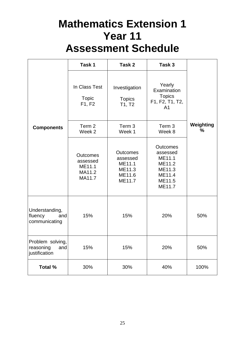# **Mathematics Extension 1 Year 11 Assessment Schedule**

<span id="page-24-0"></span>

|                                                       | Task 1                                                    | Task 2                                                              | Task 3                                                                                  |                            |
|-------------------------------------------------------|-----------------------------------------------------------|---------------------------------------------------------------------|-----------------------------------------------------------------------------------------|----------------------------|
|                                                       | In Class Test<br><b>Topic</b><br>F1, F2                   | Investigation<br><b>Topics</b><br>T1, T2                            | Yearly<br>Examination<br><b>Topics</b><br>F1, F2, T1, T2,<br>A <sub>1</sub>             |                            |
| <b>Components</b>                                     | Term 2<br>Week 2                                          | Term 3<br>Week 1                                                    | Term 3<br>Week 8                                                                        | Weighting<br>$\frac{9}{6}$ |
|                                                       | <b>Outcomes</b><br>assessed<br>ME11.1<br>MA11.2<br>MA11.7 | <b>Outcomes</b><br>assessed<br>ME11.1<br>ME11.3<br>ME11.6<br>ME11.7 | <b>Outcomes</b><br>assessed<br>ME11.1<br>ME11.2<br>ME11.3<br>ME11.4<br>ME11.5<br>ME11.7 |                            |
| Understanding,<br>fluency<br>and<br>communicating     | 15%                                                       | 15%                                                                 | 20%                                                                                     | 50%                        |
| Problem solving,<br>and<br>reasoning<br>justification | 15%                                                       | 15%                                                                 | 20%                                                                                     | 50%                        |
| Total %                                               | 30%                                                       | 30%                                                                 | 40%                                                                                     | 100%                       |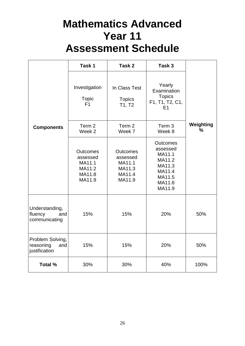# **Mathematics Advanced Year 11 Assessment Schedule**

<span id="page-25-0"></span>

|                                                       | Task 1                                                              | Task 2                                                              | Task 3                                                                                            |                |
|-------------------------------------------------------|---------------------------------------------------------------------|---------------------------------------------------------------------|---------------------------------------------------------------------------------------------------|----------------|
|                                                       | Investigation<br><b>Topic</b><br>F1                                 | In Class Test<br><b>Topics</b><br>T1, T2                            | Yearly<br>Examination<br><b>Topics</b><br>F1, T1, T2, C1,<br>E1                                   |                |
| <b>Components</b>                                     | Term 2<br>Week <sub>2</sub>                                         | Term 2<br>Week 7                                                    | Term 3<br>Week 8                                                                                  | Weighting<br>% |
|                                                       | <b>Outcomes</b><br>assessed<br>MA11.1<br>MA11.2<br>MA11.8<br>MA11.9 | <b>Outcomes</b><br>assessed<br>MA11.1<br>MA11.3<br>MA11.4<br>MA11.9 | <b>Outcomes</b><br>assessed<br>MA11.1<br>MA11.2<br>MA11.3<br>MA11.4<br>MA11.5<br>MA11.6<br>MA11.9 |                |
| Understanding,<br>fluency<br>and<br>communicating     | 15%                                                                 | 15%                                                                 | 20%                                                                                               | 50%            |
| Problem Solving,<br>reasoning<br>and<br>justification | 15%                                                                 | 15%                                                                 | 20%                                                                                               | 50%            |
| Total %                                               | 30%                                                                 | 30%                                                                 | 40%                                                                                               | 100%           |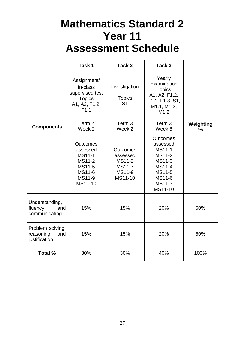# **Mathematics Standard 2 Year 11 Assessment Schedule**

<span id="page-26-0"></span>

|                                                       | Task 1                                                                                                 | Task 2                                                                             | Task 3                                                                                                                            |                            |
|-------------------------------------------------------|--------------------------------------------------------------------------------------------------------|------------------------------------------------------------------------------------|-----------------------------------------------------------------------------------------------------------------------------------|----------------------------|
|                                                       | Assignment/<br>In-class<br>supervised test<br><b>Topics</b><br>A1, A2, F1.2,<br>F1.1                   | Investigation<br><b>Topics</b><br>S <sub>1</sub>                                   | Yearly<br>Examination<br><b>Topics</b><br>A1, A2, F1.2,<br>F1.1, F1.3, S1,<br>M1.1, M1.3,<br>M1.2                                 |                            |
| <b>Components</b>                                     | Term 2<br>Week 2                                                                                       | Term <sub>3</sub><br>Week 2                                                        | Term 3<br>Week 8                                                                                                                  | Weighting<br>$\frac{0}{0}$ |
|                                                       | <b>Outcomes</b><br>assessed<br><b>MS11-1</b><br><b>MS11-2</b><br>MS11-5<br>MS11-6<br>MS11-9<br>MS11-10 | <b>Outcomes</b><br>assessed<br><b>MS11-2</b><br><b>MS11-7</b><br>MS11-9<br>MS11-10 | <b>Outcomes</b><br>assessed<br><b>MS11-1</b><br><b>MS11-2</b><br>MS11-3<br>MS11-4<br>MS11-5<br>MS11-6<br><b>MS11-7</b><br>MS11-10 |                            |
| Understanding,<br>fluency<br>and<br>communicating     | 15%                                                                                                    | 15%                                                                                | 20%                                                                                                                               | 50%                        |
| Problem solving,<br>reasoning<br>and<br>justification | 15%                                                                                                    | 15%                                                                                | 20%                                                                                                                               | 50%                        |
| Total %                                               | 30%                                                                                                    | 30%                                                                                | 40%                                                                                                                               | 100%                       |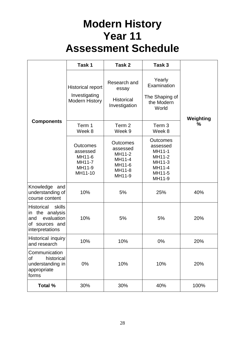# **Modern History Year 11 Assessment Schedule**

<span id="page-27-0"></span>

|                                                                                                             | Task 1                                                               | Task 2                                                                        | Task 3                                                                                  |           |
|-------------------------------------------------------------------------------------------------------------|----------------------------------------------------------------------|-------------------------------------------------------------------------------|-----------------------------------------------------------------------------------------|-----------|
|                                                                                                             | <b>Historical report</b><br>Investigating<br><b>Modern History</b>   | Research and<br>essay<br><b>Historical</b><br>Investigation                   | Yearly<br>Examination<br>The Shaping of<br>the Modern<br>World                          | Weighting |
| <b>Components</b>                                                                                           | Term 1<br>Week 8                                                     | Term 2<br>Week 9                                                              | Term <sub>3</sub><br>Week 8                                                             | %         |
|                                                                                                             | <b>Outcomes</b><br>assessed<br>MH11-6<br>MH11-7<br>MH11-9<br>MH11-10 | <b>Outcomes</b><br>assessed<br>MH11-2<br>MH11-4<br>MH11-6<br>MH11-8<br>MH11-9 | <b>Outcomes</b><br>assessed<br>MH11-1<br>MH11-2<br>MH11-3<br>MH11-4<br>MH11-5<br>MH11-9 |           |
| Knowledge and<br>understanding of<br>course content                                                         | 10%                                                                  | 5%                                                                            | 25%                                                                                     | 40%       |
| <b>Historical</b><br>skills<br>the analysis<br>in<br>evaluation<br>and<br>of sources and<br>interpretations | 10%                                                                  | 5%                                                                            | 5%                                                                                      | 20%       |
| Historical inquiry<br>and research                                                                          | 10%                                                                  | 10%                                                                           | 0%                                                                                      | 20%       |
| Communication<br>historical<br>οf<br>understanding in<br>appropriate<br>forms                               | 0%                                                                   | 10%                                                                           | 10%                                                                                     | 20%       |
| <b>Total %</b>                                                                                              | 30%                                                                  | 30%                                                                           | 40%                                                                                     | 100%      |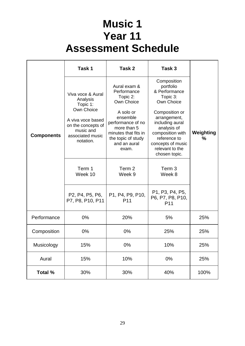# **Music 1 Year 11 Assessment Schedule**

<span id="page-28-0"></span>

|                   | Task 1                                                                                                                                           | Task 2                                                                                                                                                                                    | Task 3                                                                                                                                                                                                                               |                |
|-------------------|--------------------------------------------------------------------------------------------------------------------------------------------------|-------------------------------------------------------------------------------------------------------------------------------------------------------------------------------------------|--------------------------------------------------------------------------------------------------------------------------------------------------------------------------------------------------------------------------------------|----------------|
| <b>Components</b> | Viva voce & Aural<br>Analysis<br>Topic 1:<br>Own Choice<br>A viva voce based<br>on the concepts of<br>music and<br>associated music<br>notation. | Aural exam &<br>Performance<br>Topic 2:<br>Own Choice<br>A solo or<br>ensemble<br>performance of no<br>more than 5<br>minutes that fits in<br>the topic of study<br>and an aural<br>exam. | Composition<br>portfolio<br>& Performance<br>Topic 3:<br>Own Choice<br>Composition or<br>arrangement,<br>including aural<br>analysis of<br>composition with<br>reference to<br>concepts of music<br>relevant to the<br>chosen topic. | Weighting<br>℅ |
|                   | Term 1<br>Week 10                                                                                                                                | Term 2<br>Week 9                                                                                                                                                                          | Term 3<br>Week 8                                                                                                                                                                                                                     |                |
|                   | P2, P4, P5, P6,<br>P7, P8, P10, P11                                                                                                              | P1, P4, P9, P10,<br>P <sub>11</sub>                                                                                                                                                       | P1, P3, P4, P5,<br>P6, P7, P8, P10,<br>P <sub>11</sub>                                                                                                                                                                               |                |
| Performance       | 0%                                                                                                                                               | 20%                                                                                                                                                                                       | 5%                                                                                                                                                                                                                                   | 25%            |
| Composition       | 0%                                                                                                                                               | 0%                                                                                                                                                                                        | 25%                                                                                                                                                                                                                                  | 25%            |
| Musicology        | 15%                                                                                                                                              | 0%                                                                                                                                                                                        | 10%                                                                                                                                                                                                                                  | 25%            |
| Aural             | 15%                                                                                                                                              | 10%                                                                                                                                                                                       | 0%                                                                                                                                                                                                                                   | 25%            |
| Total %           | 30%                                                                                                                                              | 30%                                                                                                                                                                                       | 40%                                                                                                                                                                                                                                  | 100%           |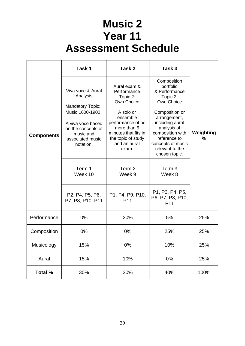# **Music 2 Year 11 Assessment Schedule**

<span id="page-29-0"></span>

|                   | Task 1                                                                                                                                                                                    | Task 2                                                                                                                                                                                                        | Task 3                                                                                                                                                                                                                                                                                 |                |
|-------------------|-------------------------------------------------------------------------------------------------------------------------------------------------------------------------------------------|---------------------------------------------------------------------------------------------------------------------------------------------------------------------------------------------------------------|----------------------------------------------------------------------------------------------------------------------------------------------------------------------------------------------------------------------------------------------------------------------------------------|----------------|
| <b>Components</b> | Viva voce & Aural<br>Analysis<br><b>Mandatory Topic:</b><br>Music 1600-1900<br>A viva voce based<br>on the concepts of<br>music and<br>associated music<br>notation.<br>Term 1<br>Week 10 | Aural exam &<br>Performance<br>Topic 2:<br>Own Choice<br>A solo or<br>ensemble<br>performance of no<br>more than 5<br>minutes that fits in<br>the topic of study<br>and an aural<br>exam.<br>Term 2<br>Week 9 | Composition<br>portfolio<br>& Performance<br>Topic 2:<br>Own Choice<br>Composition or<br>arrangement,<br>including aural<br>analysis of<br>composition with<br>reference to<br>concepts of music<br>relevant to the<br>chosen topic.<br>Term <sub>3</sub><br>Week 8<br>P1, P3, P4, P5, | Weighting<br>℅ |
|                   | P <sub>2</sub> , P <sub>4</sub> , P <sub>5</sub> , P <sub>6</sub> ,<br>P7, P8, P10, P11                                                                                                   | P1, P4, P9, P10,<br>P <sub>11</sub>                                                                                                                                                                           | P6, P7, P8, P10,<br>P <sub>11</sub>                                                                                                                                                                                                                                                    |                |
| Performance       | 0%                                                                                                                                                                                        | 20%                                                                                                                                                                                                           | 5%                                                                                                                                                                                                                                                                                     | 25%            |
| Composition       | 0%                                                                                                                                                                                        | 0%                                                                                                                                                                                                            | 25%                                                                                                                                                                                                                                                                                    | 25%            |
| Musicology        | 15%                                                                                                                                                                                       | 0%                                                                                                                                                                                                            | 10%                                                                                                                                                                                                                                                                                    | 25%            |
| Aural             | 15%                                                                                                                                                                                       | 10%                                                                                                                                                                                                           | 0%                                                                                                                                                                                                                                                                                     | 25%            |
| Total %           | 30%                                                                                                                                                                                       | 30%                                                                                                                                                                                                           | 40%                                                                                                                                                                                                                                                                                    | 100%           |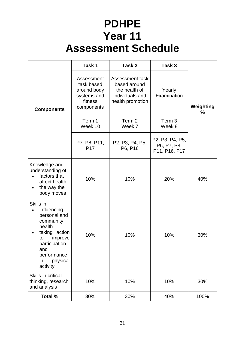# **PDHPE Year 11 Assessment Schedule**

<span id="page-30-0"></span>

|                                                                                                                                                                         | Task 1                                                                          | Task 2                                                                                  | Task 3                                          |                |
|-------------------------------------------------------------------------------------------------------------------------------------------------------------------------|---------------------------------------------------------------------------------|-----------------------------------------------------------------------------------------|-------------------------------------------------|----------------|
| <b>Components</b>                                                                                                                                                       | Assessment<br>task based<br>around body<br>systems and<br>fitness<br>components | Assessment task<br>based around<br>the health of<br>individuals and<br>health promotion | Yearly<br>Examination                           | Weighting<br>% |
|                                                                                                                                                                         | Term 1<br>Week 10                                                               | Term 2<br>Week 7                                                                        | Term 3<br>Week 8                                |                |
|                                                                                                                                                                         | P7, P8, P11,<br>P <sub>17</sub>                                                 | P2, P3, P4, P5,<br>P6, P16                                                              | P2, P3, P4, P5,<br>P6, P7, P8,<br>P11, P16, P17 |                |
| Knowledge and<br>understanding of<br>factors that<br>affect health<br>the way the<br>body moves                                                                         | 10%                                                                             | 10%                                                                                     | 20%                                             | 40%            |
| Skills in:<br>influencing<br>personal and<br>community<br>health<br>taking action<br>improve<br>to<br>participation<br>and<br>performance<br>physical<br>in<br>activity | 10%                                                                             | 10%                                                                                     | 10%                                             | 30%            |
| Skills in critical<br>thinking, research<br>and analysis                                                                                                                | 10%                                                                             | 10%                                                                                     | 10%                                             | 30%            |
| <b>Total %</b>                                                                                                                                                          | 30%                                                                             | 30%                                                                                     | 40%                                             | 100%           |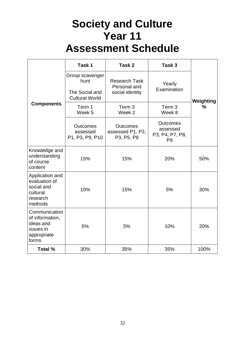# **Society and Culture Year 11 Assessment Schedule**

<span id="page-31-0"></span>

|                                                                                    | Task 1                                                             | Task 2                                                  | Task 3                                                           |           |
|------------------------------------------------------------------------------------|--------------------------------------------------------------------|---------------------------------------------------------|------------------------------------------------------------------|-----------|
|                                                                                    | Group scavenger<br>hunt<br>The Social and<br><b>Cultural World</b> | <b>Research Task</b><br>Personal and<br>social identity | Yearly<br>Examination                                            | Weighting |
| <b>Components</b>                                                                  | Term 1<br>Week 5                                                   | Term 3<br>Week 2                                        | Term 3<br>Week 8                                                 | ℅         |
|                                                                                    | <b>Outcomes</b><br>assessed<br>P1, P3, P9, P10                     | <b>Outcomes</b><br>assessed P1, P2,<br>P3, P5, P8       | <b>Outcomes</b><br>assessed<br>P3, P4, P7, P8,<br>P <sub>9</sub> |           |
| Knowledge and<br>understanding<br>of course<br>content                             | 15%                                                                | 15%                                                     | 20%                                                              | 50%       |
| Application and<br>evaluation of<br>social and<br>cultural<br>research<br>methods  | 10%                                                                | 15%                                                     | 5%                                                               | 30%       |
| Communication<br>of information,<br>ideas and<br>issues in<br>appropriate<br>forms | 5%                                                                 | 5%                                                      | 10%                                                              | 20%       |
| Total %                                                                            | 30%                                                                | 35%                                                     | 35%                                                              | 100%      |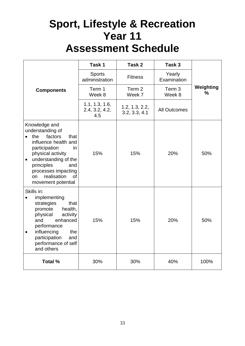## <span id="page-32-0"></span>**Sport, Lifestyle & Recreation Year 11 Assessment Schedule**

|                                                                                                                                                                                                                                                                                        | Task 1                                  | Task 2                          | Task 3                |                            |
|----------------------------------------------------------------------------------------------------------------------------------------------------------------------------------------------------------------------------------------------------------------------------------------|-----------------------------------------|---------------------------------|-----------------------|----------------------------|
|                                                                                                                                                                                                                                                                                        | <b>Sports</b><br>administration         | <b>Fitness</b>                  | Yearly<br>Examination |                            |
| <b>Components</b>                                                                                                                                                                                                                                                                      | Term 1<br>Week 8                        | Term 2<br>Week 7                | Term 3<br>Week 8      | Weighting<br>$\frac{0}{0}$ |
|                                                                                                                                                                                                                                                                                        | 1.1, 1.3, 1.6,<br>2.4, 3.2, 4.2,<br>4.5 | 1.2, 1.3, 2.2,<br>3.2, 3.3, 4.1 | <b>All Outcomes</b>   |                            |
| Knowledge and<br>understanding of<br>factors<br>the<br>that<br>$\bullet$<br>influence health and<br>participation<br>in.<br>physical activity<br>understanding of the<br>$\bullet$<br>principles<br>and<br>processes impacting<br>realisation<br><b>of</b><br>on<br>movement potential | 15%                                     | 15%                             | 20%                   | 50%                        |
| Skills in:<br>implementing<br>strategies<br>that<br>health,<br>promote<br>physical<br>activity<br>enhanced<br>and<br>performance<br>influencing<br>the<br>$\bullet$<br>participation<br>and<br>performance of self<br>and others                                                       | 15%                                     | 15%                             | 20%                   | 50%                        |
| <b>Total %</b>                                                                                                                                                                                                                                                                         | 30%                                     | 30%                             | 40%                   | 100%                       |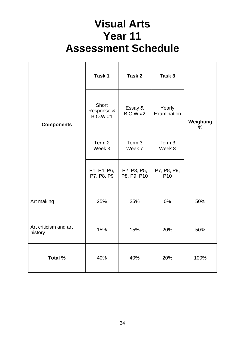# **Visual Arts Year 11 Assessment Schedule**

<span id="page-33-0"></span>

|                                  | Task 1                                 | Task 2                     | Task 3                         |                            |
|----------------------------------|----------------------------------------|----------------------------|--------------------------------|----------------------------|
| <b>Components</b>                | Short<br>Response &<br><b>B.O.W #1</b> | Essay &<br><b>B.O.W #2</b> | Yearly<br>Examination          | Weighting<br>$\frac{1}{2}$ |
|                                  | Term 2<br>Week 3                       | Term 3<br>Week 7           | Term 3<br>Week 8               |                            |
|                                  | P1, P4, P6,<br>P7, P8, P9              | P2, P3, P5,<br>P8, P9, P10 | P7, P8, P9,<br>P <sub>10</sub> |                            |
| Art making                       | 25%                                    | 25%                        | 0%                             | 50%                        |
| Art criticism and art<br>history | 15%                                    | 15%                        | 20%                            | 50%                        |
| Total %                          | 40%                                    | 40%                        | 20%                            | 100%                       |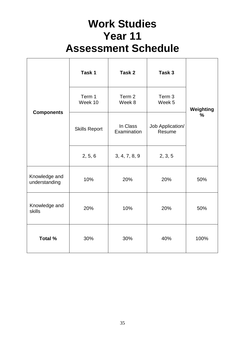# **Work Studies Year 11 Assessment Schedule**

<span id="page-34-0"></span>

|                                | Task 1               | Task 2                  | Task 3                     |           |
|--------------------------------|----------------------|-------------------------|----------------------------|-----------|
| <b>Components</b>              | Term 1<br>Week 10    | Term 2<br>Week 8        | Term 3<br>Week 5           | Weighting |
|                                | <b>Skills Report</b> | In Class<br>Examination | Job Application/<br>Resume | %         |
|                                | 2, 5, 6              | 3, 4, 7, 8, 9           | 2, 3, 5                    |           |
| Knowledge and<br>understanding | 10%                  | 20%                     | 20%                        | 50%       |
| Knowledge and<br>skills        | 20%                  | 10%                     | 20%                        | 50%       |
| <b>Total %</b>                 | 30%                  | 30%                     | 40%                        | 100%      |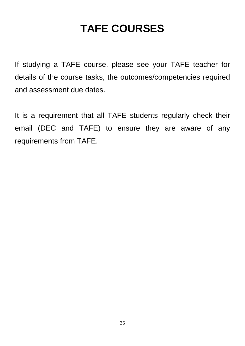# **TAFE COURSES**

<span id="page-35-0"></span>If studying a TAFE course, please see your TAFE teacher for details of the course tasks, the outcomes/competencies required and assessment due dates.

It is a requirement that all TAFE students regularly check their email (DEC and TAFE) to ensure they are aware of any requirements from TAFE.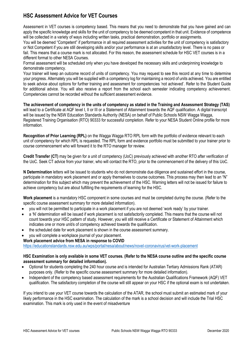### **HSC Assessment Advice for VET Courses**

Assessment in VET courses is competency based. This means that you need to demonstrate that you have gained and can apply the specific knowledge and skills for the unit of competency to be deemed competent in that unit. Evidence of competence will be collected in a variety of ways including written tasks, practical demonstration, portfolio or assignments.

You will be deemed "Competent" if performance in all required assessment activities for the unit of competency is satisfactory or Not Competent if you are still developing skills and/or your performance is at an unsatisfactory level. There is no pass or fail. This means that a course mark is not allocated. For this reason, the assessment schedule for HSC VET courses is in a different format to other NESA Courses.

Formal assessment will be scheduled only when you have developed the necessary skills and underpinning knowledge to demonstrate competency.

Your trainer will keep an outcome record of units of competency. You may request to see this record at any time to determine your progress. Alternately you will be supplied with a competency log for maintaining a record of units achieved. You are entitled to seek advice about options for further training and assessment for competencies 'not achieved'. Refer to the Student Guide for additional advice. You will also receive a report from the school each semester indicating competency achievement. Competencies cannot be recorded without the sufficient assessment evidence.

**The achievement of competency in the units of competency as stated in the Training and Assessment Strategy (TAS)** will lead to a Certificate at AQF level I, II or III or a Statement of Attainment towards the AQF qualification. A digital transcript will be issued by the NSW Education Standards Authority (NESA) on behalf of Public Schools NSW Wagga Wagga, Registered Training Organisation (RTO) 90333 for successful completion. Refer to your NESA Student Online profile for more information.

**Recognition of Prior Learning (RPL)** on the Wagga Wagga RTO RPL form with the portfolio of evidence relevant to each unit of competency for which RPL is requested. The RPL form and evidence portfolio must be submitted to your trainer prior to course commencement who will forward it to the RTO manager for review.

**Credit Transfer (CT)** may be given for a unit of competency (UoC) previously achieved with another RTO after verification of the UoC. Seek CT advice from your trainer, who will contact the RTO, prior to the commencement of the delivery of this UoC.

**N Determination** letters will be issued to students who do not demonstrate due diligence and sustained effort in the course, participate in mandatory work placement and or apply themselves to course outcomes. This process may then lead to an "N" determination for this subject which may prevent the achievement of the HSC. Warning letters will not be issued for failure to achieve competency but are about fulfilling the requirements of learning for the HSC.

**Work placement** is a mandatory HSC component in some courses and must be completed during the course. (Refer to the specific course assessment summary for more detailed information).

- you will not be permitted to participate in a work placement if you are not deemed 'work ready' by your trainer.
- a 'N' determination will be issued if work placement is not satisfactorily completed. This means that the course will not count towards your HSC pattern of study. However, you will still receive a Certificate or Statement of Attainment which indicates one or more unit/s of competency achieved towards the qualification.
- the scheduled date for work placement is shown in the course assessment summary.
- you will complete a workplace journal of your placement.

#### **Work placement advice from NESA in response to COVID**

<https://educationstandards.nsw.edu.au/wps/portal/nesa/about/news/novel-coronavirus/vet-work-placement>

#### **HSC Examination is only available in some VET courses. (Refer to the NESA course outline and the specific course assessment summary for detailed information).**

- Optional for students completing the 240 hour course and is intended for Australian Tertiary Admissions Rank (ATAR) purposes only. (Refer to the specific course assessment summary for more detailed information).
- Independent of the competency based assessment requirements for the Australian Qualifications Framework (AQF) VET qualification. The satisfactory completion of the course will still appear on your HSC if the optional exam is not undertaken.

If you intend to use your VET course towards the calculation of the ATAR, the school must submit an estimated mark of your likely performance in the HSC examination. The calculation of the mark is a school decision and will include the Trial HSC examination. This mark is only used in the event of misadventure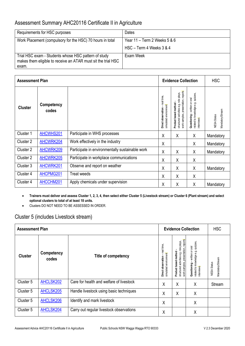### Assessment Summary AHC20116 Certificate II in Agriculture

| Requirements for HSC purposes                                                                                                  | Dates                                |
|--------------------------------------------------------------------------------------------------------------------------------|--------------------------------------|
| Work Placement (compulsory for the HSC) 70 hours in total                                                                      | Year 11 – Term 2 Weeks 5 & 6         |
|                                                                                                                                | $HSC - Term 4 \text{ Weeks } 3 \& 4$ |
| Trial HSC exam - Students whose HSC pattern of study<br>makes them eligible to receive an ATAR must sit the trial HSC<br>exam. | Exam Week                            |

|                | <b>Assessment Plan</b> |                                                 | <b>Evidence Collection</b>                                   |                                                                                                       |                                                                                    | <b>HSC</b>                             |
|----------------|------------------------|-------------------------------------------------|--------------------------------------------------------------|-------------------------------------------------------------------------------------------------------|------------------------------------------------------------------------------------|----------------------------------------|
| <b>Cluster</b> | Competency<br>codes    |                                                 | -real time<br>simulated environment<br>observation<br>Direct | work samples, presentation, reports<br>structured activities e.g. role plays,<br>Product based method | related to knowledge e.g. quizzes,<br>written or oral<br>Questioning<br>interviews | Mandatory/Stream<br><b>NESA Status</b> |
| Cluster 1      | AHCWHS201              | Participate in WHS processes                    | Χ                                                            | X                                                                                                     | X                                                                                  | Mandatory                              |
| Cluster 2      | AHCWRK204              | Work effectively in the industry                | Χ                                                            |                                                                                                       | X                                                                                  | Mandatory                              |
| Cluster 2      | AHCWRK209              | Participate in environmentally sustainable work | Χ                                                            | Χ                                                                                                     | χ                                                                                  | Mandatory                              |
| Cluster 2      | AHCWRK205              | Participate in workplace communications         | Χ                                                            | X                                                                                                     | X                                                                                  |                                        |
| Cluster 3      | AHCWRK201              | Observe and report on weather                   | Χ                                                            | X                                                                                                     | X                                                                                  | Mandatory                              |
| Cluster 4      | AHCPMG201              | <b>Treat weeds</b>                              | Χ                                                            | X                                                                                                     | χ                                                                                  |                                        |
| Cluster 4      | AHCCHM201              | Apply chemicals under supervision               | X                                                            | X                                                                                                     | X                                                                                  | Mandatory                              |

- **Trainers must deliver and assess Cluster 1, 2, 3, 4, then select either Cluster 5 (Livestock stream) or Cluster 6 (Plant stream) and select optional clusters to total of at least 18 units.**
- Clusters DO NOT NEED TO BE ASSESSED IN ORDER.

### Cluster 5 (includes Livestock stream)

| <b>Assessment Plan</b> |                     |                                          | <b>Evidence Collection</b>                                | <b>HSC</b>                                                                                                  |                                                                                      |                                        |
|------------------------|---------------------|------------------------------------------|-----------------------------------------------------------|-------------------------------------------------------------------------------------------------------------|--------------------------------------------------------------------------------------|----------------------------------------|
| <b>Cluster</b>         | Competency<br>codes | Title of competency                      | real time,<br>simulated environment<br>Direct observation | reports<br>structured activities e.g. role plays,<br>presentation,<br>Product based method<br>work samples, | quizzes,<br>written or oral<br>related to knowledge e.g.<br>Questioning<br>nterviews | Mandatory/Stream<br><b>NESA Status</b> |
| Cluster 5              | AHCLSK202           | Care for health and welfare of livestock | X                                                         | X                                                                                                           | X                                                                                    | Stream                                 |
| Cluster 5              | AHCLSK205           | Handle livestock using basic techniques  | X                                                         | X                                                                                                           | X                                                                                    |                                        |
| Cluster 5              | AHCLSK206           | Identify and mark livestock              | X                                                         |                                                                                                             | X                                                                                    |                                        |
| Cluster 5              | AHCLSK204           | Carry out regular livestock observations | X                                                         |                                                                                                             | Χ                                                                                    |                                        |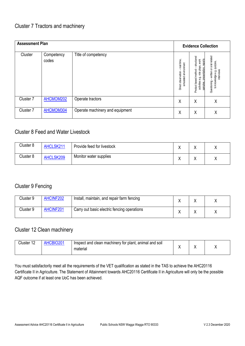| <b>Assessment Plan</b> |                     |                                 | <b>Evidence Collection</b>                                |                                                                                                          |                                                                                   |
|------------------------|---------------------|---------------------------------|-----------------------------------------------------------|----------------------------------------------------------------------------------------------------------|-----------------------------------------------------------------------------------|
| Cluster                | Competency<br>codes | Title of competency             | real time,<br>simulated environment<br>Direct observation | structured<br>samples, presentation, reports<br>activities e.g. role plays, work<br>Product based method | Questioning - written or oral related<br>to knowledge e.g. quizzes,<br>interviews |
| Cluster 7              | AHCMOM202           | Operate tractors                | X                                                         | Χ                                                                                                        | Χ                                                                                 |
| Cluster 7              | AHCMOM304           | Operate machinery and equipment | Χ                                                         | Χ                                                                                                        | Χ                                                                                 |

### Cluster 8 Feed and Water Livestock

| Cluster <sub>8</sub> | AHCLSK211 | Provide feed for livestock | ,, | ↗ |
|----------------------|-----------|----------------------------|----|---|
| Cluster 8            | AHCLSK209 | Monitor water supplies     |    |   |

### Cluster 9 Fencing

| Cluster 9 | AHCINF202 | Install, maintain, and repair farm fencing  |  |  |
|-----------|-----------|---------------------------------------------|--|--|
| Cluster 9 | AHCINF201 | Carry out basic electric fencing operations |  |  |

### Cluster 12 Clean machinery

| Cluster 12 | <b>HCBIO201</b> | Inspect and clean machinery for plant,<br>animal and soil<br>material |  |  |
|------------|-----------------|-----------------------------------------------------------------------|--|--|
|            |                 |                                                                       |  |  |

You must satisfactorily meet all the requirements of the VET qualification as stated in the TAS to achieve the AHC20116 Certificate II in Agriculture. The Statement of Attainment towards AHC20116 Certificate II in Agriculture will only be the possible AQF outcome if at least one UoC has been achieved.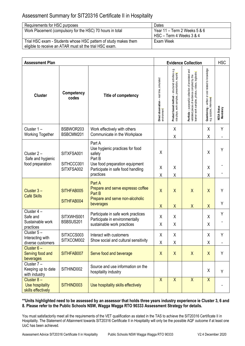### Assessment Summary for SIT20316 Certificate II in Hospitality

| Requirements for HSC purposes                                                                                               | Dates                                                        |
|-----------------------------------------------------------------------------------------------------------------------------|--------------------------------------------------------------|
| Work Placement (compulsory for the HSC) 70 hours in total                                                                   | Year $11 - Term 2$ Weeks $5 & 6$<br>HSC - Term 4 Weeks 3 & 4 |
| Trial HSC exam - Students whose HSC pattern of study makes them<br>eligible to receive an ATAR must sit the trial HSC exam. | Exam Week                                                    |

| <b>Assessment Plan</b>                                  |                          |                                                                                                       | <b>Evidence Collection</b>                               | <b>HSC</b>                                                                                           |                                                                                                                                                      |                                                                                                      |                                 |
|---------------------------------------------------------|--------------------------|-------------------------------------------------------------------------------------------------------|----------------------------------------------------------|------------------------------------------------------------------------------------------------------|------------------------------------------------------------------------------------------------------------------------------------------------------|------------------------------------------------------------------------------------------------------|---------------------------------|
| <b>Cluster</b>                                          | Competency<br>codes      | Title of competency                                                                                   | Direct observation – real time, simulated<br>environment | Product based method – structured activities e.g.<br>role plays, work samples, presentation, reports | Portfolio – purposeful collection of annotated and<br>validated pieces of evidence compiled by the<br>learner work samples, photos, videos, logbooks | <b>Questioning</b> – written or oral related to knowledge<br>e.g. quizzes, interviews <mark>:</mark> | <b>NESA Status</b><br>Mandatory |
| Cluster 1-<br><b>Working Together</b>                   | BSBWOR203<br>BSBCMM201   | Work effectively with others<br>Communicate in the Workplace                                          |                                                          | X<br>Χ                                                                                               |                                                                                                                                                      | Χ<br>Χ                                                                                               | Y                               |
| Cluster 2-<br>Safe and hygienic<br>food preparation     | SITXFSA001<br>SITHCCC001 | Part A<br>Use hygienic practices for food<br>safety<br>Part B<br>Use food preparation equipment       | Χ                                                        |                                                                                                      |                                                                                                                                                      | X                                                                                                    | Υ                               |
|                                                         | SITXFSA002               | Participate in safe food handling<br>practices                                                        | Χ<br>Χ                                                   | X<br>Χ                                                                                               |                                                                                                                                                      | Χ<br>Χ                                                                                               |                                 |
| Cluster 3-<br><b>Café Skills</b>                        | SITHFAB005<br>SITHFAB004 | Part A<br>Prepare and serve espresso coffee<br>Part B<br>Prepare and serve non-alcoholic<br>beverages | $\sf X$                                                  | $\sf X$                                                                                              | X                                                                                                                                                    | $\overline{X}$                                                                                       | Υ<br>Υ                          |
| Cluster 4-<br>Safe and<br>Sustainable work<br>practices | SITXWHS001<br>BSBSUS201  | Participate in safe work practices<br>Participate in environmentally<br>sustainable work practices    | $\sf X$<br>Χ<br>Χ                                        | $\sf X$<br>X<br>Χ                                                                                    | $\sf X$                                                                                                                                              | X<br>X<br>Χ                                                                                          | Y                               |
| Cluster 5-<br>Interacting with<br>diverse customers     | SITXCCS003<br>SITXCOM002 | Interact with customers<br>Show social and cultural sensitivity                                       | χ<br>Χ                                                   | Χ<br>Χ                                                                                               |                                                                                                                                                      | Χ<br>Χ                                                                                               | Υ                               |
| Cluster 6-<br>Serving food and<br>beverages             | SITHFAB007               | Serve food and beverage                                                                               | $\sf X$                                                  | X                                                                                                    | X                                                                                                                                                    | X                                                                                                    | Υ                               |
| Cluster 7 -<br>Keeping up to date<br>with industry      | SITHIND002               | Source and use information on the<br>hospitality industry                                             |                                                          |                                                                                                      |                                                                                                                                                      | Χ                                                                                                    | Y                               |
| Cluster 8-<br>Use hospitality<br>skills effectively     | SITHIND003               | Use hospitality skills effectively                                                                    | $\sf X$                                                  | $\mathsf{X}$                                                                                         | $\mathsf{X}$                                                                                                                                         | $\mathsf{X}$                                                                                         |                                 |

### **\*\*Units highlighted need to be assessed by an assessor that holds three years industry experience ie Cluster 3, 6 and 8. Please refer to the Public Schools NSW, Wagga Wagga RTO 90333 Assessment Strategy for details.**

You must satisfactorily meet all the requirements of the VET qualification as stated in the TAS to achieve the SIT20316 Certificate II in Hospitality. The Statement of Attainment towards SIT20316 Certificate II in Hospitality will only be the possible AQF outcome if at least one UoC has been achieved.